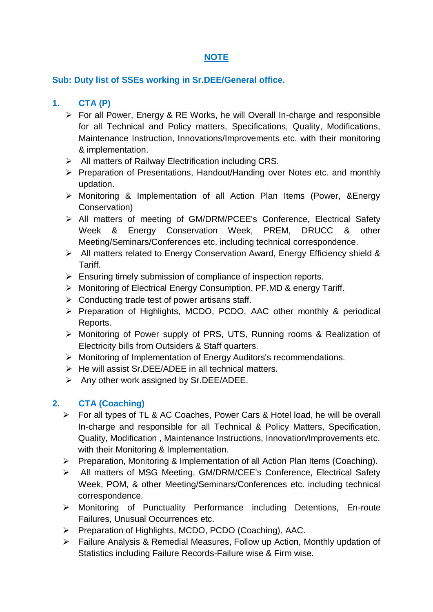# **NOTE**

#### **Sub: Duty list of SSEs working in Sr.DEE/General office.**

# **1. CTA (P)**

- For all Power, Energy & RE Works, he will Overall In-charge and responsible for all Technical and Policy matters, Specifications, Quality, Modifications, Maintenance Instruction, Innovations/Improvements etc. with their monitoring & implementation.
- $\triangleright$  All matters of Railway Electrification including CRS.
- $\triangleright$  Preparation of Presentations, Handout/Handing over Notes etc. and monthly updation.
- Monitoring & Implementation of all Action Plan Items (Power, &Energy Conservation)
- All matters of meeting of GM/DRM/PCEE's Conference, Electrical Safety Week & Energy Conservation Week, PREM, DRUCC & other Meeting/Seminars/Conferences etc. including technical correspondence.
- All matters related to Energy Conservation Award, Energy Efficiency shield & Tariff.
- $\triangleright$  Ensuring timely submission of compliance of inspection reports.
- ▶ Monitoring of Electrical Energy Consumption, PF, MD & energy Tariff.
- $\triangleright$  Conducting trade test of power artisans staff.
- $\triangleright$  Preparation of Highlights, MCDO, PCDO, AAC other monthly & periodical Reports.
- Monitoring of Power supply of PRS, UTS, Running rooms & Realization of Electricity bills from Outsiders & Staff quarters.
- Monitoring of Implementation of Energy Auditors's recommendations.
- $\triangleright$  He will assist Sr.DEE/ADEE in all technical matters.
- $\triangleright$  Any other work assigned by Sr.DEE/ADEE.

## **2. CTA (Coaching)**

- For all types of TL & AC Coaches, Power Cars & Hotel load, he will be overall In-charge and responsible for all Technical & Policy Matters, Specification, Quality, Modification , Maintenance Instructions, Innovation/Improvements etc. with their Monitoring & Implementation.
- $\triangleright$  Preparation, Monitoring & Implementation of all Action Plan Items (Coaching).
- All matters of MSG Meeting, GM/DRM/CEE's Conference, Electrical Safety Week, POM, & other Meeting/Seminars/Conferences etc. including technical correspondence.
- Monitoring of Punctuality Performance including Detentions, En-route Failures, Unusual Occurrences etc.
- Preparation of Highlights, MCDO, PCDO (Coaching), AAC.
- Failure Analysis & Remedial Measures, Follow up Action, Monthly updation of Statistics including Failure Records-Failure wise & Firm wise.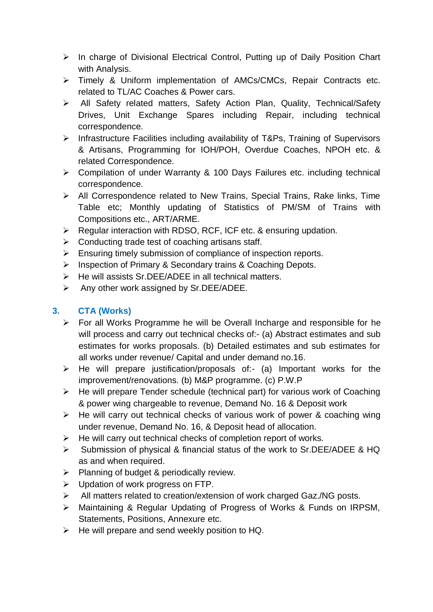- $\triangleright$  In charge of Divisional Electrical Control, Putting up of Daily Position Chart with Analysis.
- Timely & Uniform implementation of AMCs/CMCs, Repair Contracts etc. related to TL/AC Coaches & Power cars.
- All Safety related matters, Safety Action Plan, Quality, Technical/Safety Drives, Unit Exchange Spares including Repair, including technical correspondence.
- $\triangleright$  Infrastructure Facilities including availability of T&Ps, Training of Supervisors & Artisans, Programming for IOH/POH, Overdue Coaches, NPOH etc. & related Correspondence.
- Compilation of under Warranty & 100 Days Failures etc. including technical correspondence.
- $\triangleright$  All Correspondence related to New Trains, Special Trains, Rake links, Time Table etc; Monthly updating of Statistics of PM/SM of Trains with Compositions etc., ART/ARME.
- ▶ Regular interaction with RDSO, RCF, ICF etc. & ensuring updation.
- $\triangleright$  Conducting trade test of coaching artisans staff.
- $\triangleright$  Ensuring timely submission of compliance of inspection reports.
- **EXECT** Inspection of Primary & Secondary trains & Coaching Depots.
- $\triangleright$  He will assists Sr.DEE/ADEE in all technical matters.
- $\triangleright$  Any other work assigned by Sr.DEE/ADEE.

# **3. CTA (Works)**

- $\triangleright$  For all Works Programme he will be Overall Incharge and responsible for he will process and carry out technical checks of:- (a) Abstract estimates and sub estimates for works proposals. (b) Detailed estimates and sub estimates for all works under revenue/ Capital and under demand no.16.
- $\triangleright$  He will prepare justification/proposals of:- (a) Important works for the improvement/renovations. (b) M&P programme. (c) P.W.P
- $\triangleright$  He will prepare Tender schedule (technical part) for various work of Coaching & power wing chargeable to revenue, Demand No. 16 & Deposit work
- $\triangleright$  He will carry out technical checks of various work of power & coaching wing under revenue, Demand No. 16, & Deposit head of allocation.
- $\triangleright$  He will carry out technical checks of completion report of works.
- $\triangleright$  Submission of physical & financial status of the work to Sr.DEE/ADEE & HQ as and when required.
- $\triangleright$  Planning of budget & periodically review.
- $\triangleright$  Updation of work progress on FTP.
- All matters related to creation/extension of work charged Gaz./NG posts.
- Maintaining & Regular Updating of Progress of Works & Funds on IRPSM, Statements, Positions, Annexure etc.
- $\triangleright$  He will prepare and send weekly position to HQ.